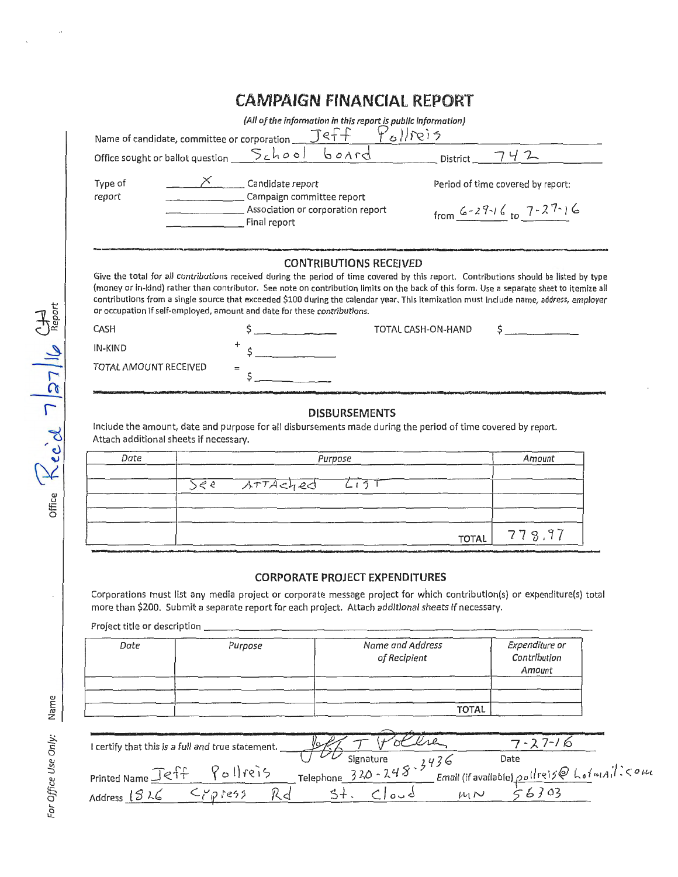## **CAMPAIGN FINANCIAL REPORT**

| (All of the information in this report is public information)<br>Pollieis<br>Name of candidate, committee or corporation $\bigcirc$ $\exists$ e $\uparrow \uparrow$                                                                                                                                                                                                                                                                                                                                                                        |                                                   |                                   |  |  |
|--------------------------------------------------------------------------------------------------------------------------------------------------------------------------------------------------------------------------------------------------------------------------------------------------------------------------------------------------------------------------------------------------------------------------------------------------------------------------------------------------------------------------------------------|---------------------------------------------------|-----------------------------------|--|--|
|                                                                                                                                                                                                                                                                                                                                                                                                                                                                                                                                            |                                                   | District<br>2                     |  |  |
|                                                                                                                                                                                                                                                                                                                                                                                                                                                                                                                                            |                                                   |                                   |  |  |
| Type of<br>report                                                                                                                                                                                                                                                                                                                                                                                                                                                                                                                          | Candidate report<br>Campaign committee report     | Period of time covered by report: |  |  |
|                                                                                                                                                                                                                                                                                                                                                                                                                                                                                                                                            | Association or corporation report<br>Final report | from 6-29-16 to $7 - 27 - 16$     |  |  |
| <b>CONTRIBUTIONS RECEIVED</b><br>Give the total for all contributions received during the period of time covered by this report. Contributions should be listed by type<br>(money or in-kind) rather than contributor. See note on contribution limits on the back of this form. Use a separate sheet to itemize all<br>contributions from a single source that exceeded \$100 during the calendar year. This itemization must include name, address, employer<br>or occupation if self-employed, amount and date for these contributions. |                                                   |                                   |  |  |
| CASH                                                                                                                                                                                                                                                                                                                                                                                                                                                                                                                                       |                                                   | TOTAL CASH-ON-HAND                |  |  |
| IN-KIND                                                                                                                                                                                                                                                                                                                                                                                                                                                                                                                                    |                                                   |                                   |  |  |
| TOTAL AMOUNT RECEIVED                                                                                                                                                                                                                                                                                                                                                                                                                                                                                                                      | $=$                                               |                                   |  |  |
| <b>DISBURSEMENTS</b>                                                                                                                                                                                                                                                                                                                                                                                                                                                                                                                       |                                                   |                                   |  |  |

Include the amount, date and purpose for all disbursements made during the period of time covered by report. Attach additional sheets if necessary.

| Date | Purpose           | Amount       |  |
|------|-------------------|--------------|--|
|      | See ATTAChed List |              |  |
|      |                   | TOTAL 778.97 |  |

## **CORPORATE PROJECT EXPENDITURES**

Corporations must list any media project or corporate message project for which contribution(s) or expenditure(s) total more than \$200. Submit a separate report for each project. Attach additional sheets If necessary.

Project title or description \_\_\_\_\_

| Date | Purpose | Name and Address<br>of Recipient | Expenditure or<br>Contribution<br>Amount |
|------|---------|----------------------------------|------------------------------------------|
|      |         |                                  |                                          |
|      |         | <b>TOTAL</b>                     |                                          |

| I certify that this is a full and true statement. |                                         |                                                                                                                             |  |
|---------------------------------------------------|-----------------------------------------|-----------------------------------------------------------------------------------------------------------------------------|--|
|                                                   |                                         | Date                                                                                                                        |  |
| Printed Name -                                    | $\frac{1}{220-248}$ - 3436<br>Telephone | Email (if available) $\rho_{\rho}$ ( <i>i</i> re) $j \otimes L$ $_0$ $t$ $\omega$ $_0$ i <sup>1</sup> $\zeta$ $\circ$ $\mu$ |  |
| Address $1326$                                    |                                         | $\mu$ 1 $\sim$                                                                                                              |  |